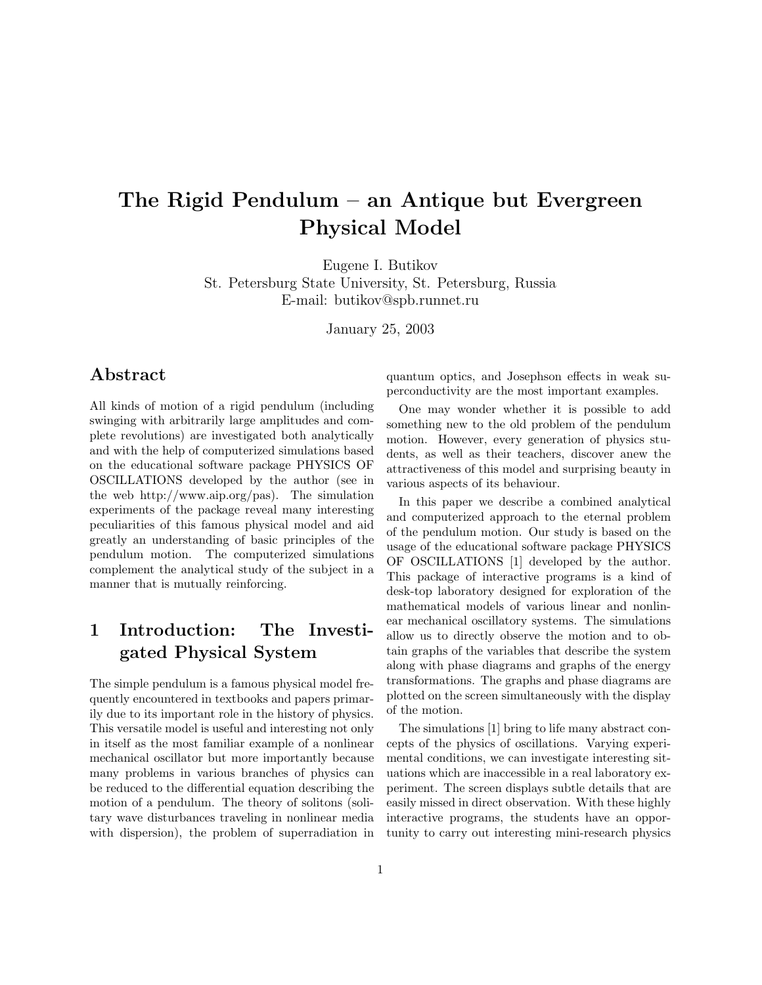# The Rigid Pendulum – an Antique but Evergreen Physical Model

Eugene I. Butikov St. Petersburg State University, St. Petersburg, Russia E-mail: butikov@spb.runnet.ru

January 25, 2003

#### Abstract

All kinds of motion of a rigid pendulum (including swinging with arbitrarily large amplitudes and complete revolutions) are investigated both analytically and with the help of computerized simulations based on the educational software package PHYSICS OF OSCILLATIONS developed by the author (see in the web http://www.aip.org/pas). The simulation experiments of the package reveal many interesting peculiarities of this famous physical model and aid greatly an understanding of basic principles of the pendulum motion. The computerized simulations complement the analytical study of the subject in a manner that is mutually reinforcing.

### 1 Introduction: The Investigated Physical System

The simple pendulum is a famous physical model frequently encountered in textbooks and papers primarily due to its important role in the history of physics. This versatile model is useful and interesting not only in itself as the most familiar example of a nonlinear mechanical oscillator but more importantly because many problems in various branches of physics can be reduced to the differential equation describing the motion of a pendulum. The theory of solitons (solitary wave disturbances traveling in nonlinear media with dispersion), the problem of superradiation in quantum optics, and Josephson effects in weak superconductivity are the most important examples.

One may wonder whether it is possible to add something new to the old problem of the pendulum motion. However, every generation of physics students, as well as their teachers, discover anew the attractiveness of this model and surprising beauty in various aspects of its behaviour.

In this paper we describe a combined analytical and computerized approach to the eternal problem of the pendulum motion. Our study is based on the usage of the educational software package PHYSICS OF OSCILLATIONS [1] developed by the author. This package of interactive programs is a kind of desk-top laboratory designed for exploration of the mathematical models of various linear and nonlinear mechanical oscillatory systems. The simulations allow us to directly observe the motion and to obtain graphs of the variables that describe the system along with phase diagrams and graphs of the energy transformations. The graphs and phase diagrams are plotted on the screen simultaneously with the display of the motion.

The simulations [1] bring to life many abstract concepts of the physics of oscillations. Varying experimental conditions, we can investigate interesting situations which are inaccessible in a real laboratory experiment. The screen displays subtle details that are easily missed in direct observation. With these highly interactive programs, the students have an opportunity to carry out interesting mini-research physics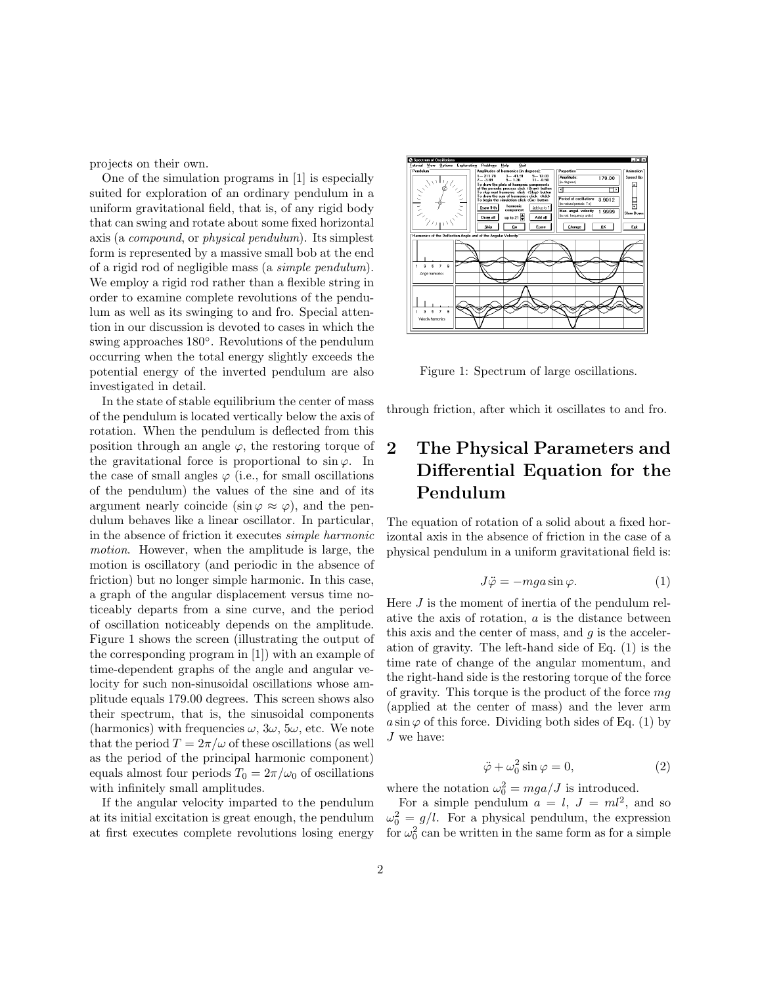projects on their own.

One of the simulation programs in [1] is especially suited for exploration of an ordinary pendulum in a uniform gravitational field, that is, of any rigid body that can swing and rotate about some fixed horizontal axis (a compound, or physical pendulum). Its simplest form is represented by a massive small bob at the end of a rigid rod of negligible mass (a simple pendulum). We employ a rigid rod rather than a flexible string in order to examine complete revolutions of the pendulum as well as its swinging to and fro. Special attention in our discussion is devoted to cases in which the swing approaches  $180^\circ$ . Revolutions of the pendulum occurring when the total energy slightly exceeds the potential energy of the inverted pendulum are also investigated in detail.

In the state of stable equilibrium the center of mass of the pendulum is located vertically below the axis of rotation. When the pendulum is deflected from this position through an angle  $\varphi$ , the restoring torque of the gravitational force is proportional to  $\sin \varphi$ . In the case of small angles  $\varphi$  (i.e., for small oscillations of the pendulum) the values of the sine and of its argument nearly coincide (sin  $\varphi \approx \varphi$ ), and the pendulum behaves like a linear oscillator. In particular, in the absence of friction it executes simple harmonic motion. However, when the amplitude is large, the motion is oscillatory (and periodic in the absence of friction) but no longer simple harmonic. In this case, a graph of the angular displacement versus time noticeably departs from a sine curve, and the period of oscillation noticeably depends on the amplitude. Figure 1 shows the screen (illustrating the output of the corresponding program in [1]) with an example of time-dependent graphs of the angle and angular velocity for such non-sinusoidal oscillations whose amplitude equals 179.00 degrees. This screen shows also their spectrum, that is, the sinusoidal components (harmonics) with frequencies  $\omega$ ,  $3\omega$ ,  $5\omega$ , etc. We note that the period  $T = 2\pi/\omega$  of these oscillations (as well as the period of the principal harmonic component) equals almost four periods  $T_0 = 2\pi/\omega_0$  of oscillations with infinitely small amplitudes.

If the angular velocity imparted to the pendulum at its initial excitation is great enough, the pendulum at first executes complete revolutions losing energy



Figure 1: Spectrum of large oscillations.

through friction, after which it oscillates to and fro.

## 2 The Physical Parameters and Differential Equation for the Pendulum

The equation of rotation of a solid about a fixed horizontal axis in the absence of friction in the case of a physical pendulum in a uniform gravitational field is:

$$
J\ddot{\varphi} = -mga\sin\varphi. \tag{1}
$$

Here  $J$  is the moment of inertia of the pendulum relative the axis of rotation,  $a$  is the distance between this axis and the center of mass, and  $q$  is the acceleration of gravity. The left-hand side of Eq. (1) is the time rate of change of the angular momentum, and the right-hand side is the restoring torque of the force of gravity. This torque is the product of the force mg (applied at the center of mass) and the lever arm  $a \sin \varphi$  of this force. Dividing both sides of Eq. (1) by  $J$  we have:

$$
\ddot{\varphi} + \omega_0^2 \sin \varphi = 0,\tag{2}
$$

where the notation  $\omega_0^2 = mga/J$  is introduced.

For a simple pendulum  $a = l, J = ml^2$ , and so  $\omega_0^2 = g/l$ . For a physical pendulum, the expression for  $\omega_0^2$  can be written in the same form as for a simple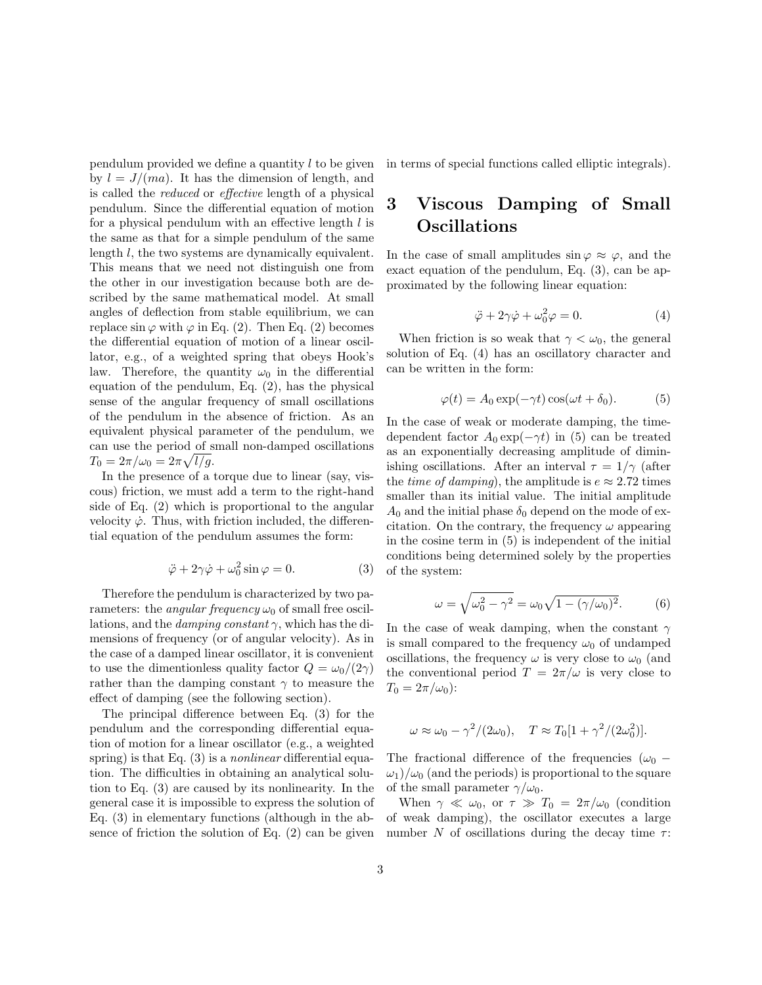pendulum provided we define a quantity  $l$  to be given by  $l = J/(ma)$ . It has the dimension of length, and is called the reduced or effective length of a physical pendulum. Since the differential equation of motion for a physical pendulum with an effective length  $l$  is the same as that for a simple pendulum of the same length l, the two systems are dynamically equivalent. This means that we need not distinguish one from the other in our investigation because both are described by the same mathematical model. At small angles of deflection from stable equilibrium, we can replace  $\sin \varphi$  with  $\varphi$  in Eq. (2). Then Eq. (2) becomes the differential equation of motion of a linear oscillator, e.g., of a weighted spring that obeys Hook's law. Therefore, the quantity  $\omega_0$  in the differential equation of the pendulum, Eq. (2), has the physical sense of the angular frequency of small oscillations of the pendulum in the absence of friction. As an equivalent physical parameter of the pendulum, we can use the period of small non-damped oscillations  $T_0 = 2\pi/\omega_0 = 2\pi \sqrt{l/g}.$ 

In the presence of a torque due to linear (say, viscous) friction, we must add a term to the right-hand side of Eq. (2) which is proportional to the angular velocity  $\dot{\varphi}$ . Thus, with friction included, the differential equation of the pendulum assumes the form:

$$
\ddot{\varphi} + 2\gamma \dot{\varphi} + \omega_0^2 \sin \varphi = 0.
$$
 (3)

Therefore the pendulum is characterized by two parameters: the *angular frequency*  $\omega_0$  of small free oscillations, and the *damping constant*  $\gamma$ , which has the dimensions of frequency (or of angular velocity). As in the case of a damped linear oscillator, it is convenient to use the dimentionless quality factor  $Q = \omega_0/(2\gamma)$ rather than the damping constant  $\gamma$  to measure the effect of damping (see the following section).

The principal difference between Eq. (3) for the pendulum and the corresponding differential equation of motion for a linear oscillator (e.g., a weighted spring) is that Eq.  $(3)$  is a *nonlinear* differential equation. The difficulties in obtaining an analytical solution to Eq. (3) are caused by its nonlinearity. In the general case it is impossible to express the solution of Eq. (3) in elementary functions (although in the absence of friction the solution of Eq. (2) can be given in terms of special functions called elliptic integrals).

### 3 Viscous Damping of Small Oscillations

In the case of small amplitudes  $\sin \varphi \approx \varphi$ , and the exact equation of the pendulum, Eq. (3), can be approximated by the following linear equation:

$$
\ddot{\varphi} + 2\gamma \dot{\varphi} + \omega_0^2 \varphi = 0. \tag{4}
$$

When friction is so weak that  $\gamma < \omega_0$ , the general solution of Eq. (4) has an oscillatory character and can be written in the form:

$$
\varphi(t) = A_0 \exp(-\gamma t) \cos(\omega t + \delta_0). \tag{5}
$$

In the case of weak or moderate damping, the timedependent factor  $A_0 \exp(-\gamma t)$  in (5) can be treated as an exponentially decreasing amplitude of diminishing oscillations. After an interval  $\tau = 1/\gamma$  (after the *time of damping*), the amplitude is  $e \approx 2.72$  times smaller than its initial value. The initial amplitude  $A_0$  and the initial phase  $\delta_0$  depend on the mode of excitation. On the contrary, the frequency  $\omega$  appearing in the cosine term in (5) is independent of the initial conditions being determined solely by the properties of the system:

$$
\omega = \sqrt{\omega_0^2 - \gamma^2} = \omega_0 \sqrt{1 - (\gamma/\omega_0)^2}.
$$
 (6)

In the case of weak damping, when the constant  $\gamma$ is small compared to the frequency  $\omega_0$  of undamped oscillations, the frequency  $\omega$  is very close to  $\omega_0$  (and the conventional period  $T = 2\pi/\omega$  is very close to  $T_0 = 2\pi/\omega_0$ :

$$
\omega \approx \omega_0 - \gamma^2 / (2\omega_0), \quad T \approx T_0 [1 + \gamma^2 / (2\omega_0^2)].
$$

The fractional difference of the frequencies ( $\omega_0$  –  $\omega_1/\omega_0$  (and the periods) is proportional to the square of the small parameter  $\gamma/\omega_0$ .

When  $\gamma \ll \omega_0$ , or  $\tau \gg T_0 = 2\pi/\omega_0$  (condition of weak damping), the oscillator executes a large number N of oscillations during the decay time  $\tau$ :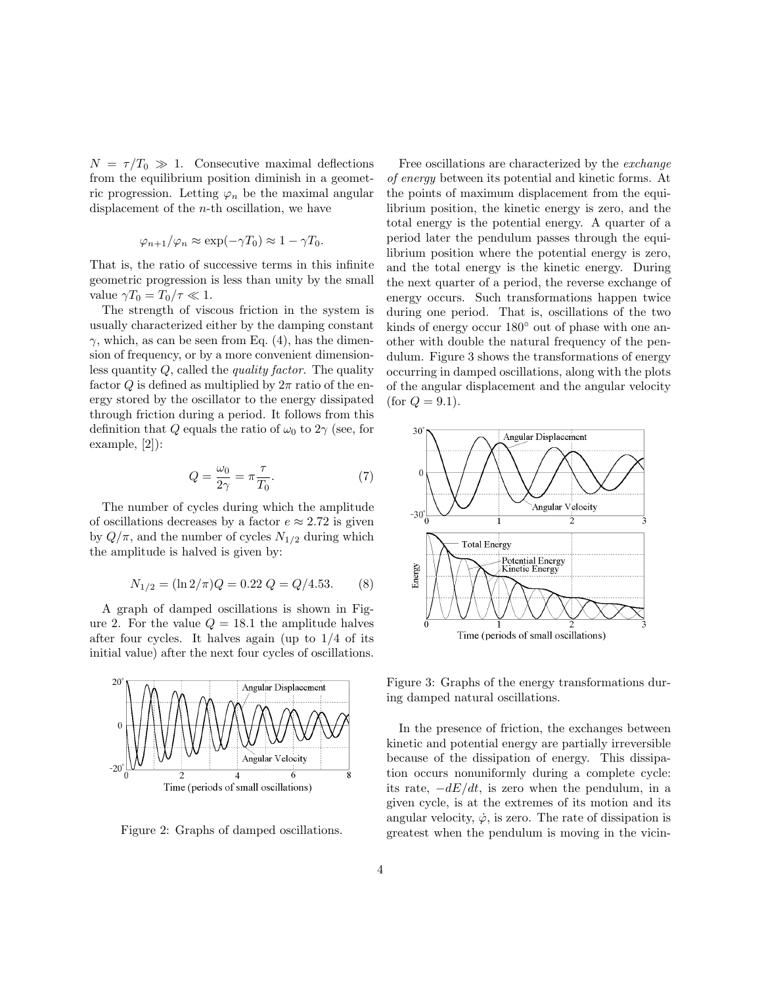$N = \tau/T_0 \gg 1$ . Consecutive maximal deflections from the equilibrium position diminish in a geometric progression. Letting  $\varphi_n$  be the maximal angular displacement of the n-th oscillation, we have

$$
\varphi_{n+1}/\varphi_n \approx \exp(-\gamma T_0) \approx 1 - \gamma T_0.
$$

That is, the ratio of successive terms in this infinite geometric progression is less than unity by the small value  $\gamma T_0 = T_0 / \tau \ll 1$ .

The strength of viscous friction in the system is usually characterized either by the damping constant  $\gamma$ , which, as can be seen from Eq. (4), has the dimension of frequency, or by a more convenient dimensionless quantity  $Q$ , called the *quality factor*. The quality factor Q is defined as multiplied by  $2\pi$  ratio of the energy stored by the oscillator to the energy dissipated through friction during a period. It follows from this definition that Q equals the ratio of  $\omega_0$  to  $2\gamma$  (see, for example, [2]):

$$
Q = \frac{\omega_0}{2\gamma} = \pi \frac{\tau}{T_0}.
$$
 (7)

The number of cycles during which the amplitude of oscillations decreases by a factor  $e \approx 2.72$  is given by  $Q/\pi$ , and the number of cycles  $N_{1/2}$  during which the amplitude is halved is given by:

$$
N_{1/2} = (\ln 2/\pi)Q = 0.22 Q = Q/4.53. \tag{8}
$$

A graph of damped oscillations is shown in Figure 2. For the value  $Q = 18.1$  the amplitude halves after four cycles. It halves again (up to 1/4 of its initial value) after the next four cycles of oscillations.



Figure 2: Graphs of damped oscillations.

Free oscillations are characterized by the exchange of energy between its potential and kinetic forms. At the points of maximum displacement from the equilibrium position, the kinetic energy is zero, and the total energy is the potential energy. A quarter of a period later the pendulum passes through the equilibrium position where the potential energy is zero, and the total energy is the kinetic energy. During the next quarter of a period, the reverse exchange of energy occurs. Such transformations happen twice during one period. That is, oscillations of the two kinds of energy occur  $180°$  out of phase with one another with double the natural frequency of the pendulum. Figure 3 shows the transformations of energy occurring in damped oscillations, along with the plots of the angular displacement and the angular velocity (for  $Q = 9.1$ ).



Figure 3: Graphs of the energy transformations during damped natural oscillations.

In the presence of friction, the exchanges between kinetic and potential energy are partially irreversible because of the dissipation of energy. This dissipation occurs nonuniformly during a complete cycle: its rate,  $-dE/dt$ , is zero when the pendulum, in a given cycle, is at the extremes of its motion and its angular velocity,  $\dot{\varphi}$ , is zero. The rate of dissipation is greatest when the pendulum is moving in the vicin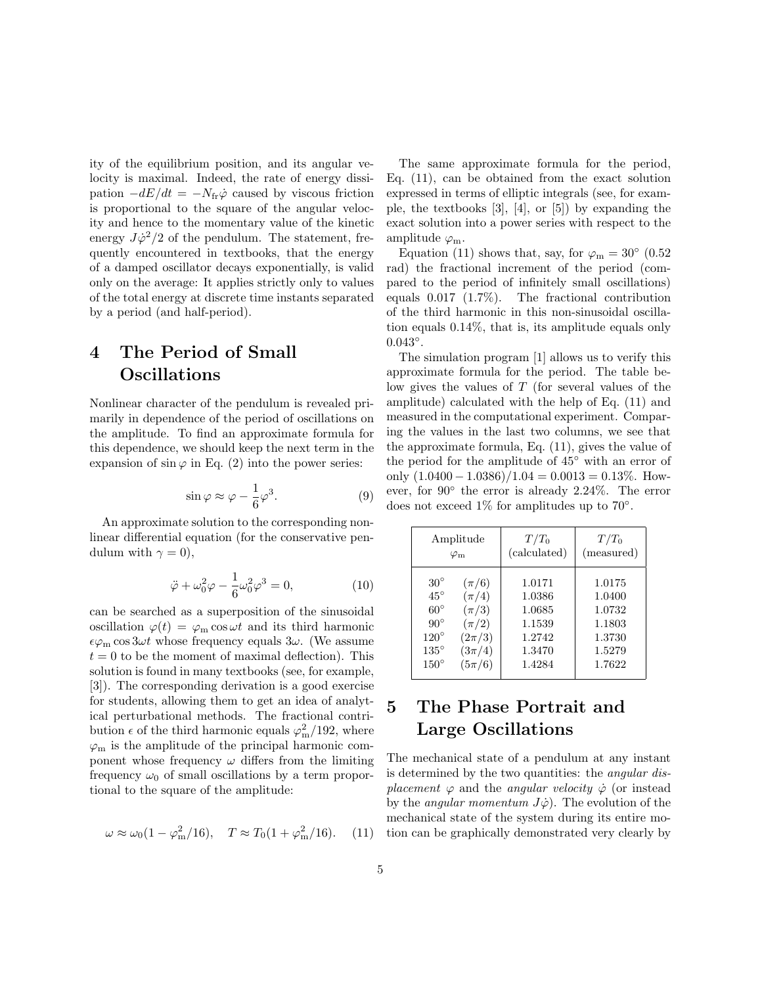ity of the equilibrium position, and its angular velocity is maximal. Indeed, the rate of energy dissipation  $-dE/dt = -N_{\text{fr}}\dot{\varphi}$  caused by viscous friction is proportional to the square of the angular velocity and hence to the momentary value of the kinetic energy  $J\dot{\varphi}^2/2$  of the pendulum. The statement, frequently encountered in textbooks, that the energy of a damped oscillator decays exponentially, is valid only on the average: It applies strictly only to values of the total energy at discrete time instants separated by a period (and half-period).

### 4 The Period of Small Oscillations

Nonlinear character of the pendulum is revealed primarily in dependence of the period of oscillations on the amplitude. To find an approximate formula for this dependence, we should keep the next term in the expansion of  $\sin \varphi$  in Eq. (2) into the power series:

$$
\sin \varphi \approx \varphi - \frac{1}{6}\varphi^3. \tag{9}
$$

An approximate solution to the corresponding nonlinear differential equation (for the conservative pendulum with  $\gamma = 0$ ),

$$
\ddot{\varphi} + \omega_0^2 \varphi - \frac{1}{6} \omega_0^2 \varphi^3 = 0, \qquad (10)
$$

can be searched as a superposition of the sinusoidal oscillation  $\varphi(t) = \varphi_m \cos \omega t$  and its third harmonic  $\epsilon\varphi_{\rm m}\cos 3\omega t$  whose frequency equals  $3\omega$ . (We assume  $t = 0$  to be the moment of maximal deflection). This solution is found in many textbooks (see, for example, [3]). The corresponding derivation is a good exercise for students, allowing them to get an idea of analytical perturbational methods. The fractional contribution  $\epsilon$  of the third harmonic equals  $\varphi_{\rm m}^2/192$ , where  $\varphi_m$  is the amplitude of the principal harmonic component whose frequency  $\omega$  differs from the limiting frequency  $\omega_0$  of small oscillations by a term proportional to the square of the amplitude:

$$
\omega \approx \omega_0 (1 - \varphi_m^2 / 16), \quad T \approx T_0 (1 + \varphi_m^2 / 16).
$$
 (11)

The same approximate formula for the period, Eq. (11), can be obtained from the exact solution expressed in terms of elliptic integrals (see, for example, the textbooks [3], [4], or [5]) by expanding the exact solution into a power series with respect to the amplitude  $\varphi_m$ .

Equation (11) shows that, say, for  $\varphi_m = 30^{\circ}$  (0.52 rad) the fractional increment of the period (compared to the period of infinitely small oscillations) equals 0.017 (1.7%). The fractional contribution of the third harmonic in this non-sinusoidal oscillation equals 0.14%, that is, its amplitude equals only  $0.043^{\circ}$ .

The simulation program [1] allows us to verify this approximate formula for the period. The table below gives the values of T (for several values of the amplitude) calculated with the help of Eq. (11) and measured in the computational experiment. Comparing the values in the last two columns, we see that the approximate formula, Eq. (11), gives the value of the period for the amplitude of 45◦ with an error of only  $(1.0400 - 1.0386)/1.04 = 0.0013 = 0.13\%$ . However, for 90◦ the error is already 2.24%. The error does not exceed  $1\%$  for amplitudes up to 70 $^{\circ}$ .

| Amplitude         |            | $T/T_0$      | $T/T_0$    |
|-------------------|------------|--------------|------------|
| $\varphi_{\rm m}$ |            | (calculated) | (measured) |
| $30^{\circ}$      | $(\pi/6)$  | 1.0171       | 1.0175     |
| $45^{\circ}$      | $(\pi/4)$  | 1.0386       | 1.0400     |
| $60^{\circ}$      | $(\pi/3)$  | 1.0685       | 1.0732     |
| $90^{\circ}$      | $(\pi/2)$  | 1.1539       | 1.1803     |
| $120^\circ$       | $(2\pi/3)$ | 1.2742       | 1.3730     |
| $135^{\circ}$     | $(3\pi/4)$ | 1.3470       | 1.5279     |
| $150^{\circ}$     | $(5\pi/6)$ | 1.4284       | 1.7622     |

### 5 The Phase Portrait and Large Oscillations

The mechanical state of a pendulum at any instant is determined by the two quantities: the angular displacement  $\varphi$  and the angular velocity  $\varphi$  (or instead by the *angular momentum*  $J\dot{\varphi}$ . The evolution of the mechanical state of the system during its entire motion can be graphically demonstrated very clearly by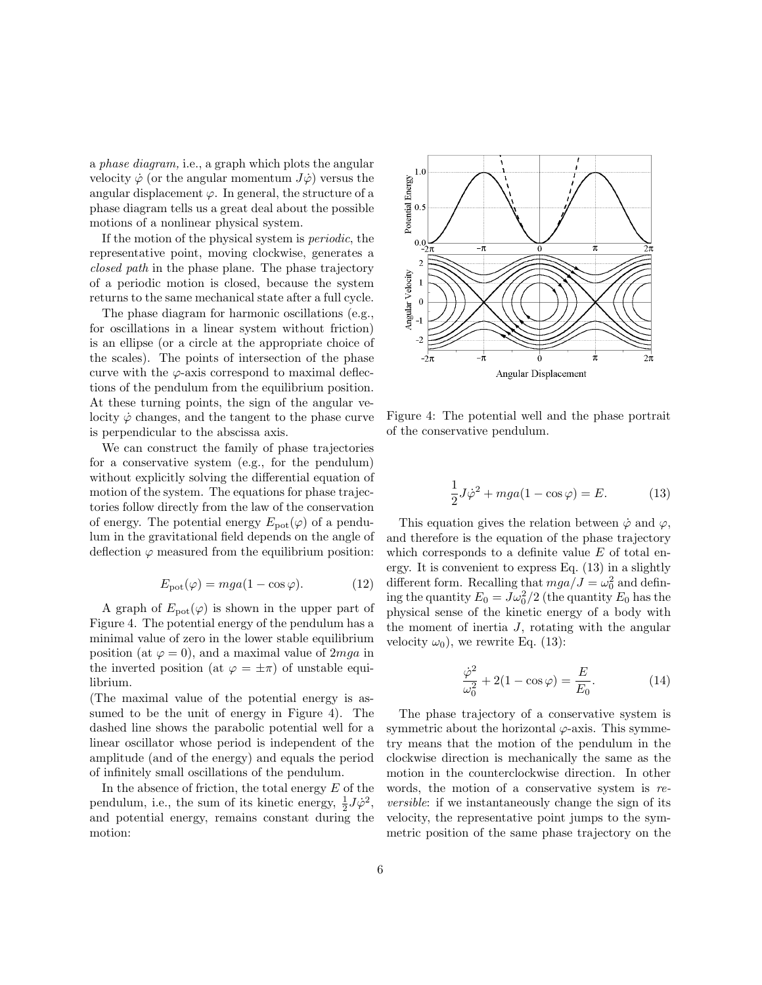a phase diagram, i.e., a graph which plots the angular velocity  $\dot{\varphi}$  (or the angular momentum  $J\dot{\varphi}$ ) versus the angular displacement  $\varphi$ . In general, the structure of a phase diagram tells us a great deal about the possible motions of a nonlinear physical system.

If the motion of the physical system is periodic, the representative point, moving clockwise, generates a closed path in the phase plane. The phase trajectory of a periodic motion is closed, because the system returns to the same mechanical state after a full cycle.

The phase diagram for harmonic oscillations (e.g., for oscillations in a linear system without friction) is an ellipse (or a circle at the appropriate choice of the scales). The points of intersection of the phase curve with the  $\varphi$ -axis correspond to maximal deflections of the pendulum from the equilibrium position. At these turning points, the sign of the angular velocity  $\dot{\varphi}$  changes, and the tangent to the phase curve is perpendicular to the abscissa axis.

We can construct the family of phase trajectories for a conservative system (e.g., for the pendulum) without explicitly solving the differential equation of motion of the system. The equations for phase trajectories follow directly from the law of the conservation of energy. The potential energy  $E_{\text{pot}}(\varphi)$  of a pendulum in the gravitational field depends on the angle of deflection  $\varphi$  measured from the equilibrium position:

$$
E_{\text{pot}}(\varphi) = mga(1 - \cos \varphi). \tag{12}
$$

A graph of  $E_{pot}(\varphi)$  is shown in the upper part of Figure 4. The potential energy of the pendulum has a minimal value of zero in the lower stable equilibrium position (at  $\varphi = 0$ ), and a maximal value of 2*mga* in the inverted position (at  $\varphi = \pm \pi$ ) of unstable equilibrium.

(The maximal value of the potential energy is assumed to be the unit of energy in Figure 4). The dashed line shows the parabolic potential well for a linear oscillator whose period is independent of the amplitude (and of the energy) and equals the period of infinitely small oscillations of the pendulum.

In the absence of friction, the total energy  $E$  of the pendulum, i.e., the sum of its kinetic energy,  $\frac{1}{2}J\dot{\varphi}^2$ , and potential energy, remains constant during the motion:



Figure 4: The potential well and the phase portrait of the conservative pendulum.

$$
\frac{1}{2}J\dot{\varphi}^2 + mga(1 - \cos\varphi) = E.
$$
 (13)

This equation gives the relation between  $\dot{\varphi}$  and  $\varphi$ , and therefore is the equation of the phase trajectory which corresponds to a definite value  $E$  of total energy. It is convenient to express Eq. (13) in a slightly different form. Recalling that  $mga/J = \omega_0^2$  and defining the quantity  $E_0 = J\omega_0^2/2$  (the quantity  $E_0$  has the physical sense of the kinetic energy of a body with the moment of inertia  $J$ , rotating with the angular velocity  $\omega_0$ ), we rewrite Eq. (13):

$$
\frac{\dot{\varphi}^2}{\omega_0^2} + 2(1 - \cos \varphi) = \frac{E}{E_0}.
$$
 (14)

The phase trajectory of a conservative system is symmetric about the horizontal  $\varphi$ -axis. This symmetry means that the motion of the pendulum in the clockwise direction is mechanically the same as the motion in the counterclockwise direction. In other words, the motion of a conservative system is reversible: if we instantaneously change the sign of its velocity, the representative point jumps to the symmetric position of the same phase trajectory on the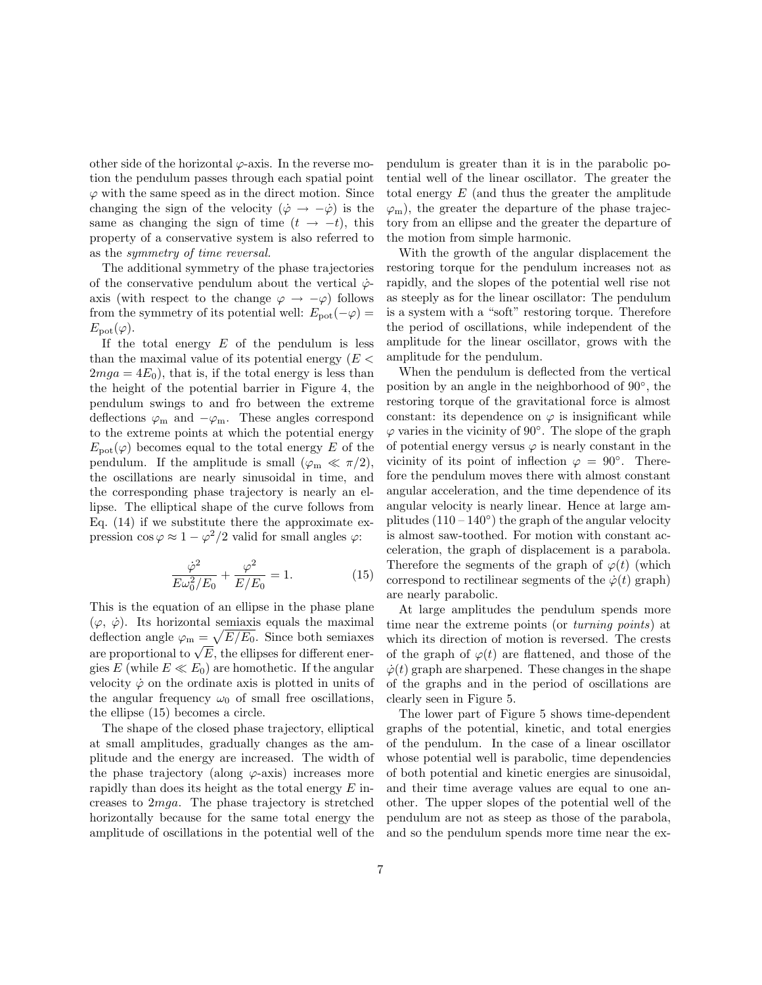other side of the horizontal  $\varphi$ -axis. In the reverse motion the pendulum passes through each spatial point  $\varphi$  with the same speed as in the direct motion. Since changing the sign of the velocity  $(\dot{\varphi} \rightarrow -\dot{\varphi})$  is the same as changing the sign of time  $(t \rightarrow -t)$ , this property of a conservative system is also referred to as the symmetry of time reversal.

The additional symmetry of the phase trajectories of the conservative pendulum about the vertical  $\dot{\varphi}$ axis (with respect to the change  $\varphi \to -\varphi$ ) follows from the symmetry of its potential well:  $E_{\text{pot}}(-\varphi) =$  $E_{\text{pot}}(\varphi)$ .

If the total energy  $E$  of the pendulum is less than the maximal value of its potential energy  $(E \leq$  $2mga = 4E<sub>0</sub>$ , that is, if the total energy is less than the height of the potential barrier in Figure 4, the pendulum swings to and fro between the extreme deflections  $\varphi_m$  and  $-\varphi_m$ . These angles correspond to the extreme points at which the potential energy  $E_{\text{pot}}(\varphi)$  becomes equal to the total energy E of the pendulum. If the amplitude is small  $(\varphi_m \ll \pi/2)$ , the oscillations are nearly sinusoidal in time, and the corresponding phase trajectory is nearly an ellipse. The elliptical shape of the curve follows from Eq.  $(14)$  if we substitute there the approximate expression  $\cos \varphi \approx 1 - \varphi^2/2$  valid for small angles  $\varphi$ :

$$
\frac{\dot{\varphi}^2}{E\omega_0^2/E_0} + \frac{\varphi^2}{E/E_0} = 1.
$$
 (15)

This is the equation of an ellipse in the phase plane  $(\varphi, \dot{\varphi})$ . Its horizontal semiaxis equals the maximal deflection angle  $\varphi_{\rm m} = \sqrt{E/E_0}$ . Since both semiaxes defiection angle  $\varphi_{\rm m} = \sqrt{E/E_0}$ . Since both semiaxes<br>are proportional to  $\sqrt{E}$ , the ellipses for different energies E (while  $E \ll E_0$ ) are homothetic. If the angular velocity  $\dot{\varphi}$  on the ordinate axis is plotted in units of the angular frequency  $\omega_0$  of small free oscillations, the ellipse (15) becomes a circle.

The shape of the closed phase trajectory, elliptical at small amplitudes, gradually changes as the amplitude and the energy are increased. The width of the phase trajectory (along  $\varphi$ -axis) increases more rapidly than does its height as the total energy  $E$  increases to 2mga. The phase trajectory is stretched horizontally because for the same total energy the amplitude of oscillations in the potential well of the pendulum is greater than it is in the parabolic potential well of the linear oscillator. The greater the total energy  $E$  (and thus the greater the amplitude  $\varphi$ <sub>m</sub>), the greater the departure of the phase trajectory from an ellipse and the greater the departure of the motion from simple harmonic.

With the growth of the angular displacement the restoring torque for the pendulum increases not as rapidly, and the slopes of the potential well rise not as steeply as for the linear oscillator: The pendulum is a system with a "soft" restoring torque. Therefore the period of oscillations, while independent of the amplitude for the linear oscillator, grows with the amplitude for the pendulum.

When the pendulum is deflected from the vertical position by an angle in the neighborhood of 90◦ , the restoring torque of the gravitational force is almost constant: its dependence on  $\varphi$  is insignificant while  $\varphi$  varies in the vicinity of 90°. The slope of the graph of potential energy versus  $\varphi$  is nearly constant in the vicinity of its point of inflection  $\varphi = 90^\circ$ . Therefore the pendulum moves there with almost constant angular acceleration, and the time dependence of its angular velocity is nearly linear. Hence at large amplitudes  $(110 - 140<sup>°</sup>)$  the graph of the angular velocity is almost saw-toothed. For motion with constant acceleration, the graph of displacement is a parabola. Therefore the segments of the graph of  $\varphi(t)$  (which correspond to rectilinear segments of the  $\dot{\varphi}(t)$  graph) are nearly parabolic.

At large amplitudes the pendulum spends more time near the extreme points (or turning points) at which its direction of motion is reversed. The crests of the graph of  $\varphi(t)$  are flattened, and those of the  $\dot{\varphi}(t)$  graph are sharpened. These changes in the shape of the graphs and in the period of oscillations are clearly seen in Figure 5.

The lower part of Figure 5 shows time-dependent graphs of the potential, kinetic, and total energies of the pendulum. In the case of a linear oscillator whose potential well is parabolic, time dependencies of both potential and kinetic energies are sinusoidal, and their time average values are equal to one another. The upper slopes of the potential well of the pendulum are not as steep as those of the parabola, and so the pendulum spends more time near the ex-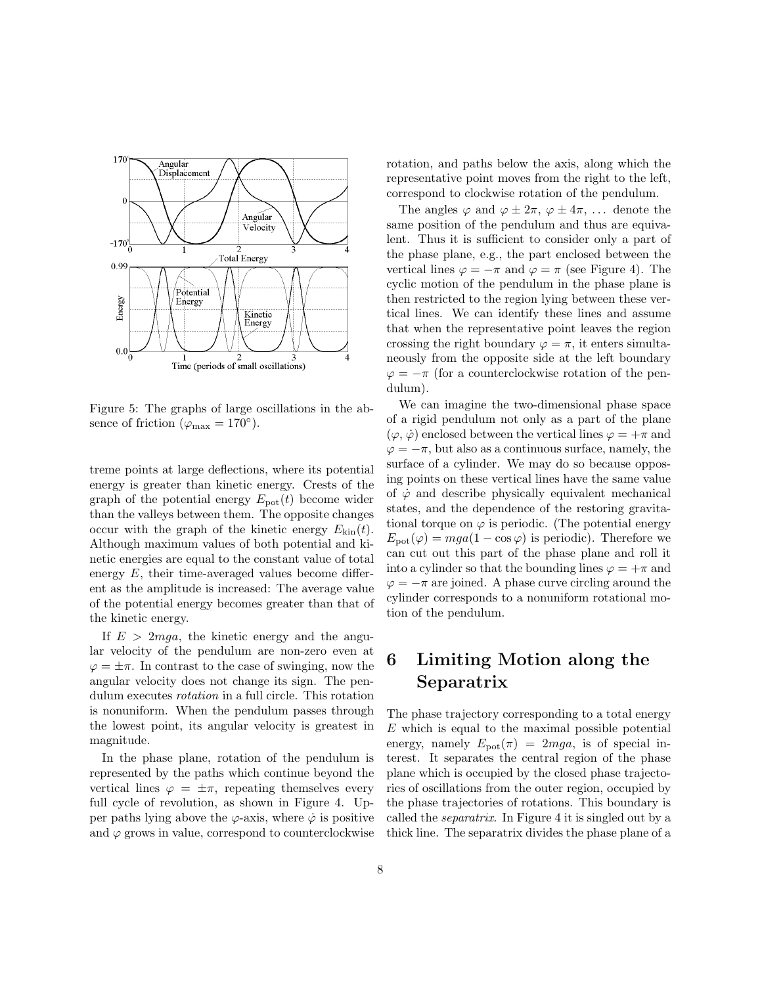

Figure 5: The graphs of large oscillations in the absence of friction ( $\varphi_{\text{max}} = 170^{\circ}$ ).

treme points at large deflections, where its potential energy is greater than kinetic energy. Crests of the graph of the potential energy  $E_{pot}(t)$  become wider than the valleys between them. The opposite changes occur with the graph of the kinetic energy  $E_{\text{kin}}(t)$ . Although maximum values of both potential and kinetic energies are equal to the constant value of total energy  $E$ , their time-averaged values become different as the amplitude is increased: The average value of the potential energy becomes greater than that of the kinetic energy.

If  $E > 2mga$ , the kinetic energy and the angular velocity of the pendulum are non-zero even at  $\varphi = \pm \pi$ . In contrast to the case of swinging, now the angular velocity does not change its sign. The pendulum executes rotation in a full circle. This rotation is nonuniform. When the pendulum passes through the lowest point, its angular velocity is greatest in magnitude.

In the phase plane, rotation of the pendulum is represented by the paths which continue beyond the vertical lines  $\varphi = \pm \pi$ , repeating themselves every full cycle of revolution, as shown in Figure 4. Upper paths lying above the  $\varphi$ -axis, where  $\dot{\varphi}$  is positive and  $\varphi$  grows in value, correspond to counterclockwise rotation, and paths below the axis, along which the representative point moves from the right to the left, correspond to clockwise rotation of the pendulum.

The angles  $\varphi$  and  $\varphi \pm 2\pi$ ,  $\varphi \pm 4\pi$ , ... denote the same position of the pendulum and thus are equivalent. Thus it is sufficient to consider only a part of the phase plane, e.g., the part enclosed between the vertical lines  $\varphi = -\pi$  and  $\varphi = \pi$  (see Figure 4). The cyclic motion of the pendulum in the phase plane is then restricted to the region lying between these vertical lines. We can identify these lines and assume that when the representative point leaves the region crossing the right boundary  $\varphi = \pi$ , it enters simultaneously from the opposite side at the left boundary  $\varphi = -\pi$  (for a counterclockwise rotation of the pendulum).

We can imagine the two-dimensional phase space of a rigid pendulum not only as a part of the plane  $(\varphi, \dot{\varphi})$  enclosed between the vertical lines  $\varphi = +\pi$  and  $\varphi = -\pi$ , but also as a continuous surface, namely, the surface of a cylinder. We may do so because opposing points on these vertical lines have the same value of  $\dot{\varphi}$  and describe physically equivalent mechanical states, and the dependence of the restoring gravitational torque on  $\varphi$  is periodic. (The potential energy  $E_{\text{pot}}(\varphi) = mga(1 - \cos \varphi)$  is periodic). Therefore we can cut out this part of the phase plane and roll it into a cylinder so that the bounding lines  $\varphi = +\pi$  and  $\varphi = -\pi$  are joined. A phase curve circling around the cylinder corresponds to a nonuniform rotational motion of the pendulum.

### 6 Limiting Motion along the Separatrix

The phase trajectory corresponding to a total energy  $E$  which is equal to the maximal possible potential energy, namely  $E_{pot}(\pi) = 2mga$ , is of special interest. It separates the central region of the phase plane which is occupied by the closed phase trajectories of oscillations from the outer region, occupied by the phase trajectories of rotations. This boundary is called the separatrix. In Figure 4 it is singled out by a thick line. The separatrix divides the phase plane of a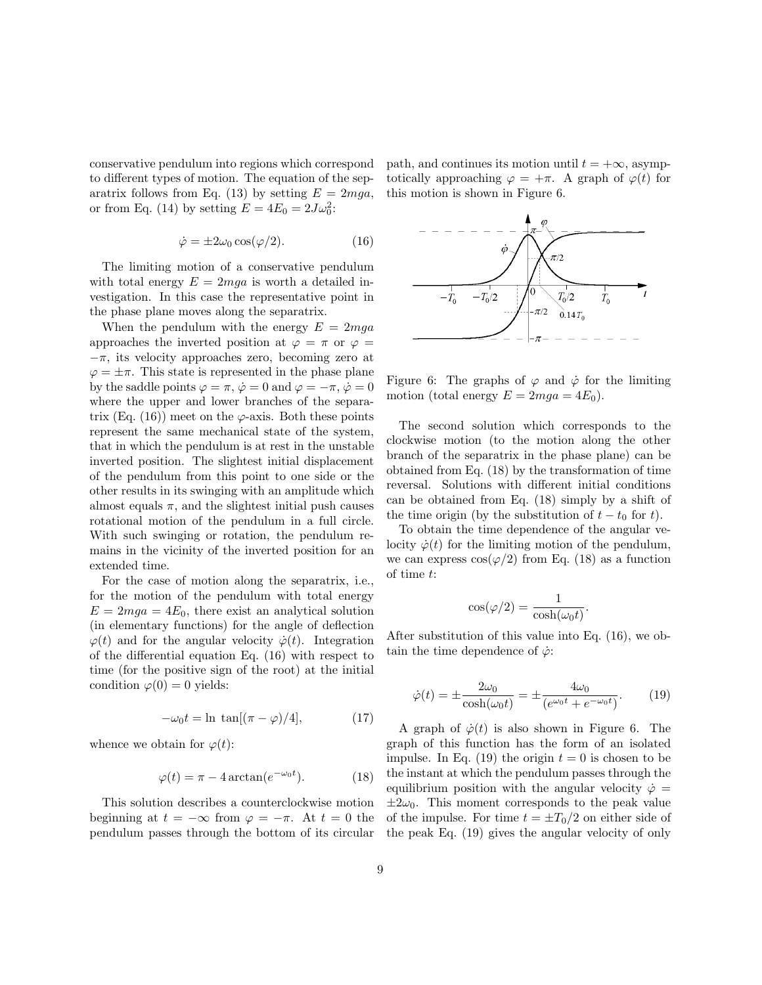conservative pendulum into regions which correspond to different types of motion. The equation of the separatrix follows from Eq. (13) by setting  $E = 2mga$ , or from Eq. (14) by setting  $E = 4E_0 = 2J\omega_0^2$ :

$$
\dot{\varphi} = \pm 2\omega_0 \cos(\varphi/2). \tag{16}
$$

The limiting motion of a conservative pendulum with total energy  $E = 2mga$  is worth a detailed investigation. In this case the representative point in the phase plane moves along the separatrix.

When the pendulum with the energy  $E = 2mga$ approaches the inverted position at  $\varphi = \pi$  or  $\varphi =$  $-\pi$ , its velocity approaches zero, becoming zero at  $\varphi = \pm \pi$ . This state is represented in the phase plane by the saddle points  $\varphi = \pi$ ,  $\dot{\varphi} = 0$  and  $\varphi = -\pi$ ,  $\dot{\varphi} = 0$ where the upper and lower branches of the separatrix (Eq. (16)) meet on the  $\varphi$ -axis. Both these points represent the same mechanical state of the system, that in which the pendulum is at rest in the unstable inverted position. The slightest initial displacement of the pendulum from this point to one side or the other results in its swinging with an amplitude which almost equals  $\pi$ , and the slightest initial push causes rotational motion of the pendulum in a full circle. With such swinging or rotation, the pendulum remains in the vicinity of the inverted position for an extended time.

For the case of motion along the separatrix, i.e., for the motion of the pendulum with total energy  $E = 2mg = 4E_0$ , there exist an analytical solution (in elementary functions) for the angle of deflection  $\varphi(t)$  and for the angular velocity  $\dot{\varphi}(t)$ . Integration of the differential equation Eq. (16) with respect to time (for the positive sign of the root) at the initial condition  $\varphi(0) = 0$  yields:

$$
-\omega_0 t = \ln \, \tan[(\pi - \varphi)/4],\tag{17}
$$

whence we obtain for  $\varphi(t)$ :

$$
\varphi(t) = \pi - 4 \arctan(e^{-\omega_0 t}).\tag{18}
$$

This solution describes a counterclockwise motion beginning at  $t = -\infty$  from  $\varphi = -\pi$ . At  $t = 0$  the pendulum passes through the bottom of its circular path, and continues its motion until  $t = +\infty$ , asymptotically approaching  $\varphi = +\pi$ . A graph of  $\varphi(t)$  for this motion is shown in Figure 6.



Figure 6: The graphs of  $\varphi$  and  $\dot{\varphi}$  for the limiting motion (total energy  $E = 2mga = 4E_0$ ).

The second solution which corresponds to the clockwise motion (to the motion along the other branch of the separatrix in the phase plane) can be obtained from Eq. (18) by the transformation of time reversal. Solutions with different initial conditions can be obtained from Eq. (18) simply by a shift of the time origin (by the substitution of  $t - t_0$  for t).

To obtain the time dependence of the angular velocity  $\dot{\varphi}(t)$  for the limiting motion of the pendulum, we can express  $\cos(\varphi/2)$  from Eq. (18) as a function of time t:

$$
\cos(\varphi/2) = \frac{1}{\cosh(\omega_0 t)}.
$$

After substitution of this value into Eq. (16), we obtain the time dependence of  $\dot{\varphi}$ :

$$
\dot{\varphi}(t) = \pm \frac{2\omega_0}{\cosh(\omega_0 t)} = \pm \frac{4\omega_0}{(e^{\omega_0 t} + e^{-\omega_0 t})}.
$$
 (19)

A graph of  $\dot{\varphi}(t)$  is also shown in Figure 6. The graph of this function has the form of an isolated impulse. In Eq. (19) the origin  $t = 0$  is chosen to be the instant at which the pendulum passes through the equilibrium position with the angular velocity  $\dot{\varphi} =$  $\pm 2\omega_0$ . This moment corresponds to the peak value of the impulse. For time  $t = \pm T_0/2$  on either side of the peak Eq. (19) gives the angular velocity of only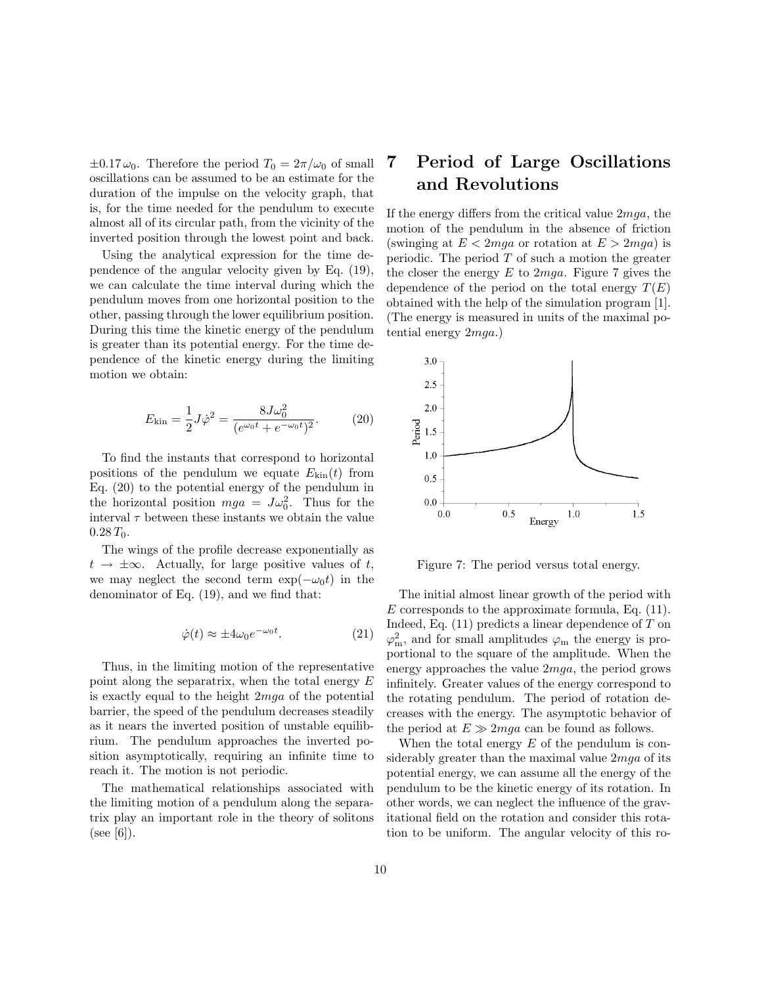$\pm 0.17 \omega_0$ . Therefore the period  $T_0 = 2\pi/\omega_0$  of small oscillations can be assumed to be an estimate for the duration of the impulse on the velocity graph, that is, for the time needed for the pendulum to execute almost all of its circular path, from the vicinity of the inverted position through the lowest point and back.

Using the analytical expression for the time dependence of the angular velocity given by Eq. (19), we can calculate the time interval during which the pendulum moves from one horizontal position to the other, passing through the lower equilibrium position. During this time the kinetic energy of the pendulum is greater than its potential energy. For the time dependence of the kinetic energy during the limiting motion we obtain:

$$
E_{\rm kin} = \frac{1}{2}J\dot{\varphi}^2 = \frac{8J\omega_0^2}{(e^{\omega_0 t} + e^{-\omega_0 t})^2}.
$$
 (20)

To find the instants that correspond to horizontal positions of the pendulum we equate  $E_{kin}(t)$  from Eq. (20) to the potential energy of the pendulum in the horizontal position  $mga = J\omega_0^2$ . Thus for the interval  $\tau$  between these instants we obtain the value  $0.28 T_0$ .

The wings of the profile decrease exponentially as  $t \to \pm \infty$ . Actually, for large positive values of t, we may neglect the second term  $\exp(-\omega_0 t)$  in the denominator of Eq. (19), and we find that:

$$
\dot{\varphi}(t) \approx \pm 4\omega_0 e^{-\omega_0 t}.\tag{21}
$$

Thus, in the limiting motion of the representative point along the separatrix, when the total energy E is exactly equal to the height 2mga of the potential barrier, the speed of the pendulum decreases steadily as it nears the inverted position of unstable equilibrium. The pendulum approaches the inverted position asymptotically, requiring an infinite time to reach it. The motion is not periodic.

The mathematical relationships associated with the limiting motion of a pendulum along the separatrix play an important role in the theory of solitons  $(see [6]).$ 

### 7 Period of Large Oscillations and Revolutions

If the energy differs from the critical value  $2mqa$ , the motion of the pendulum in the absence of friction (swinging at  $E < 2mqa$  or rotation at  $E > 2mqa$ ) is periodic. The period  $T$  of such a motion the greater the closer the energy  $E$  to  $2mga$ . Figure 7 gives the dependence of the period on the total energy  $T(E)$ obtained with the help of the simulation program [1]. (The energy is measured in units of the maximal potential energy 2mga.)



Figure 7: The period versus total energy.

The initial almost linear growth of the period with  $E$  corresponds to the approximate formula, Eq.  $(11)$ . Indeed, Eq.  $(11)$  predicts a linear dependence of T on  $\varphi_m^2$ , and for small amplitudes  $\varphi_m$  the energy is proportional to the square of the amplitude. When the energy approaches the value 2mga, the period grows infinitely. Greater values of the energy correspond to the rotating pendulum. The period of rotation decreases with the energy. The asymptotic behavior of the period at  $E \gg 2mqa$  can be found as follows.

When the total energy  $E$  of the pendulum is considerably greater than the maximal value  $2mqa$  of its potential energy, we can assume all the energy of the pendulum to be the kinetic energy of its rotation. In other words, we can neglect the influence of the gravitational field on the rotation and consider this rotation to be uniform. The angular velocity of this ro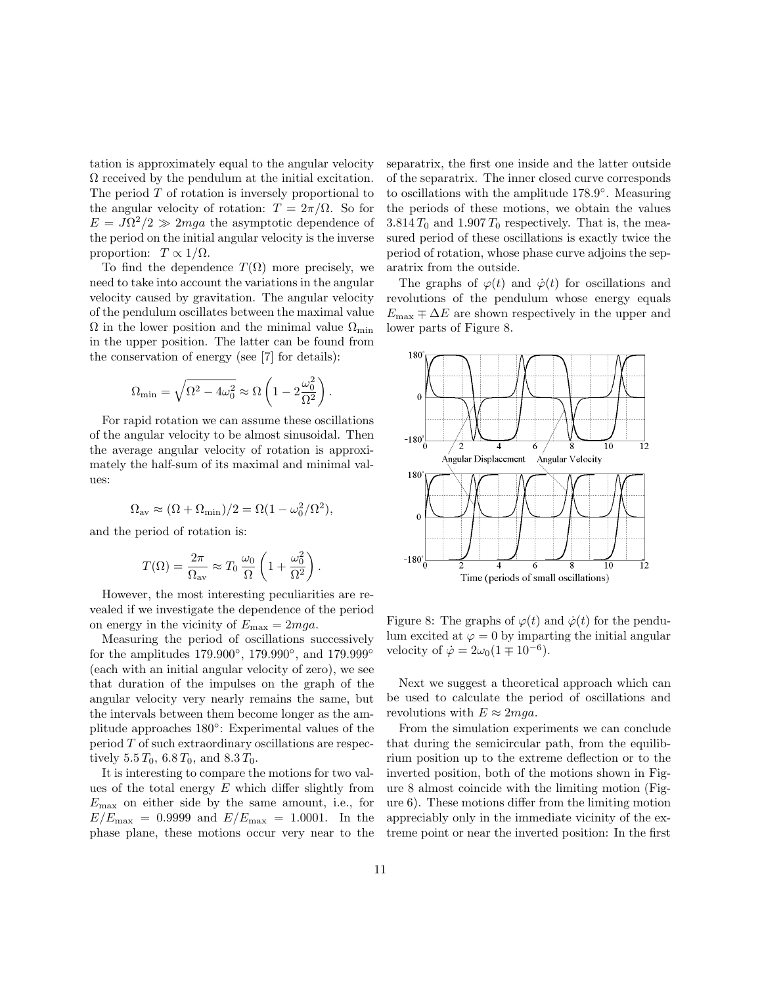tation is approximately equal to the angular velocity  $\Omega$  received by the pendulum at the initial excitation. The period T of rotation is inversely proportional to the angular velocity of rotation:  $T = 2\pi/\Omega$ . So for  $E = J\Omega^2/2 \gg 2mga$  the asymptotic dependence of the period on the initial angular velocity is the inverse proportion:  $T \propto 1/\Omega$ .

To find the dependence  $T(\Omega)$  more precisely, we need to take into account the variations in the angular velocity caused by gravitation. The angular velocity of the pendulum oscillates between the maximal value  $\Omega$  in the lower position and the minimal value  $\Omega_{\text{min}}$ in the upper position. The latter can be found from the conservation of energy (see [7] for details):

$$
\Omega_{\min} = \sqrt{\Omega^2 - 4\omega_0^2} \approx \Omega \left( 1 - 2\frac{\omega_0^2}{\Omega^2} \right).
$$

For rapid rotation we can assume these oscillations of the angular velocity to be almost sinusoidal. Then the average angular velocity of rotation is approximately the half-sum of its maximal and minimal values:

$$
\Omega_{\text{av}} \approx (\Omega + \Omega_{\text{min}})/2 = \Omega(1 - \omega_0^2/\Omega^2),
$$

and the period of rotation is:

$$
T(\Omega) = \frac{2\pi}{\Omega_{\text{av}}} \approx T_0 \frac{\omega_0}{\Omega} \left( 1 + \frac{\omega_0^2}{\Omega^2} \right).
$$

However, the most interesting peculiarities are revealed if we investigate the dependence of the period on energy in the vicinity of  $E_{\text{max}} = 2mga$ .

Measuring the period of oscillations successively for the amplitudes  $179.900^{\circ}$ ,  $179.990^{\circ}$ , and  $179.999^{\circ}$ (each with an initial angular velocity of zero), we see that duration of the impulses on the graph of the angular velocity very nearly remains the same, but the intervals between them become longer as the amplitude approaches 180◦ : Experimental values of the period T of such extraordinary oscillations are respectively  $5.5 T_0$ ,  $6.8 T_0$ , and  $8.3 T_0$ .

It is interesting to compare the motions for two values of the total energy  $E$  which differ slightly from  $E_{\text{max}}$  on either side by the same amount, i.e., for  $E/E_{\text{max}} = 0.9999$  and  $E/E_{\text{max}} = 1.0001$ . In the phase plane, these motions occur very near to the separatrix, the first one inside and the latter outside of the separatrix. The inner closed curve corresponds to oscillations with the amplitude 178.9°. Measuring the periods of these motions, we obtain the values  $3.814 T_0$  and  $1.907 T_0$  respectively. That is, the measured period of these oscillations is exactly twice the period of rotation, whose phase curve adjoins the separatrix from the outside.

The graphs of  $\varphi(t)$  and  $\dot{\varphi}(t)$  for oscillations and revolutions of the pendulum whose energy equals  $E_{\text{max}} \mp \Delta E$  are shown respectively in the upper and lower parts of Figure 8.



Figure 8: The graphs of  $\varphi(t)$  and  $\dot{\varphi}(t)$  for the pendulum excited at  $\varphi = 0$  by imparting the initial angular velocity of  $\dot{\varphi} = 2\omega_0 (1 \mp 10^{-6}).$ 

Next we suggest a theoretical approach which can be used to calculate the period of oscillations and revolutions with  $E \approx 2mga$ .

From the simulation experiments we can conclude that during the semicircular path, from the equilibrium position up to the extreme deflection or to the inverted position, both of the motions shown in Figure 8 almost coincide with the limiting motion (Figure 6). These motions differ from the limiting motion appreciably only in the immediate vicinity of the extreme point or near the inverted position: In the first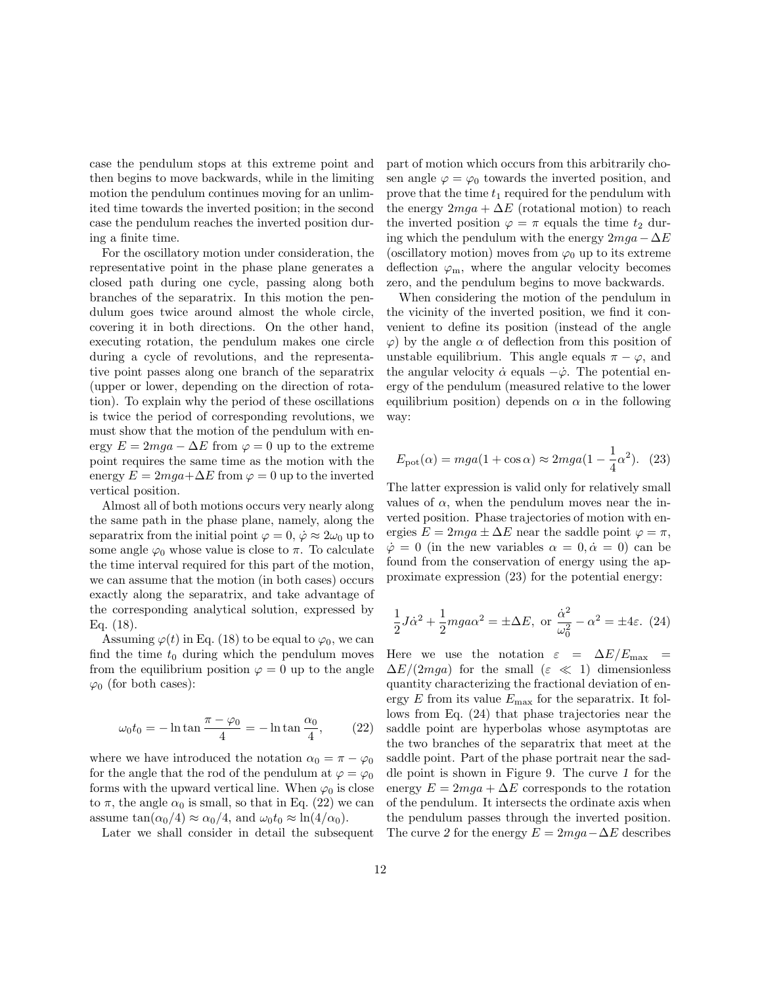case the pendulum stops at this extreme point and then begins to move backwards, while in the limiting motion the pendulum continues moving for an unlimited time towards the inverted position; in the second case the pendulum reaches the inverted position during a finite time.

For the oscillatory motion under consideration, the representative point in the phase plane generates a closed path during one cycle, passing along both branches of the separatrix. In this motion the pendulum goes twice around almost the whole circle, covering it in both directions. On the other hand, executing rotation, the pendulum makes one circle during a cycle of revolutions, and the representative point passes along one branch of the separatrix (upper or lower, depending on the direction of rotation). To explain why the period of these oscillations is twice the period of corresponding revolutions, we must show that the motion of the pendulum with energy  $E = 2mqa - \Delta E$  from  $\varphi = 0$  up to the extreme point requires the same time as the motion with the energy  $E = 2mga + \Delta E$  from  $\varphi = 0$  up to the inverted vertical position.

Almost all of both motions occurs very nearly along the same path in the phase plane, namely, along the separatrix from the initial point  $\varphi = 0$ ,  $\dot{\varphi} \approx 2\omega_0$  up to some angle  $\varphi_0$  whose value is close to  $\pi$ . To calculate the time interval required for this part of the motion, we can assume that the motion (in both cases) occurs exactly along the separatrix, and take advantage of the corresponding analytical solution, expressed by Eq. (18).

Assuming  $\varphi(t)$  in Eq. (18) to be equal to  $\varphi_0$ , we can find the time  $t_0$  during which the pendulum moves from the equilibrium position  $\varphi = 0$  up to the angle  $\varphi_0$  (for both cases):

$$
\omega_0 t_0 = -\ln \tan \frac{\pi - \varphi_0}{4} = -\ln \tan \frac{\alpha_0}{4},\qquad(22)
$$

where we have introduced the notation  $\alpha_0 = \pi - \varphi_0$ for the angle that the rod of the pendulum at  $\varphi = \varphi_0$ forms with the upward vertical line. When  $\varphi_0$  is close to  $\pi$ , the angle  $\alpha_0$  is small, so that in Eq. (22) we can assume  $\tan(\alpha_0/4) \approx \alpha_0/4$ , and  $\omega_0 t_0 \approx \ln(4/\alpha_0)$ .

Later we shall consider in detail the subsequent

part of motion which occurs from this arbitrarily chosen angle  $\varphi = \varphi_0$  towards the inverted position, and prove that the time  $t_1$  required for the pendulum with the energy  $2mga + \Delta E$  (rotational motion) to reach the inverted position  $\varphi = \pi$  equals the time  $t_2$  during which the pendulum with the energy  $2mga-\Delta E$ (oscillatory motion) moves from  $\varphi_0$  up to its extreme deflection  $\varphi_m$ , where the angular velocity becomes zero, and the pendulum begins to move backwards.

When considering the motion of the pendulum in the vicinity of the inverted position, we find it convenient to define its position (instead of the angle  $\varphi$ ) by the angle  $\alpha$  of deflection from this position of unstable equilibrium. This angle equals  $\pi - \varphi$ , and the angular velocity  $\dot{\alpha}$  equals  $-\dot{\varphi}$ . The potential energy of the pendulum (measured relative to the lower equilibrium position) depends on  $\alpha$  in the following way:

$$
E_{\rm pot}(\alpha) = mga(1 + \cos \alpha) \approx 2mga(1 - \frac{1}{4}\alpha^2). \tag{23}
$$

The latter expression is valid only for relatively small values of  $\alpha$ , when the pendulum moves near the inverted position. Phase trajectories of motion with energies  $E = 2mga \pm \Delta E$  near the saddle point  $\varphi = \pi$ ,  $\dot{\varphi} = 0$  (in the new variables  $\alpha = 0, \dot{\alpha} = 0$ ) can be found from the conservation of energy using the approximate expression (23) for the potential energy:

$$
\frac{1}{2}J\dot{\alpha}^2 + \frac{1}{2}mga\alpha^2 = \pm \Delta E, \text{ or } \frac{\dot{\alpha}^2}{\omega_0^2} - \alpha^2 = \pm 4\varepsilon. (24)
$$

Here we use the notation  $\varepsilon = \Delta E/E_{\text{max}}$  $\Delta E/(2mga)$  for the small  $(\varepsilon \ll 1)$  dimensionless quantity characterizing the fractional deviation of energy  $E$  from its value  $E_{\text{max}}$  for the separatrix. It follows from Eq. (24) that phase trajectories near the saddle point are hyperbolas whose asymptotas are the two branches of the separatrix that meet at the saddle point. Part of the phase portrait near the saddle point is shown in Figure 9. The curve 1 for the energy  $E = 2mqa + \Delta E$  corresponds to the rotation of the pendulum. It intersects the ordinate axis when the pendulum passes through the inverted position. The curve 2 for the energy  $E = 2ma - \Delta E$  describes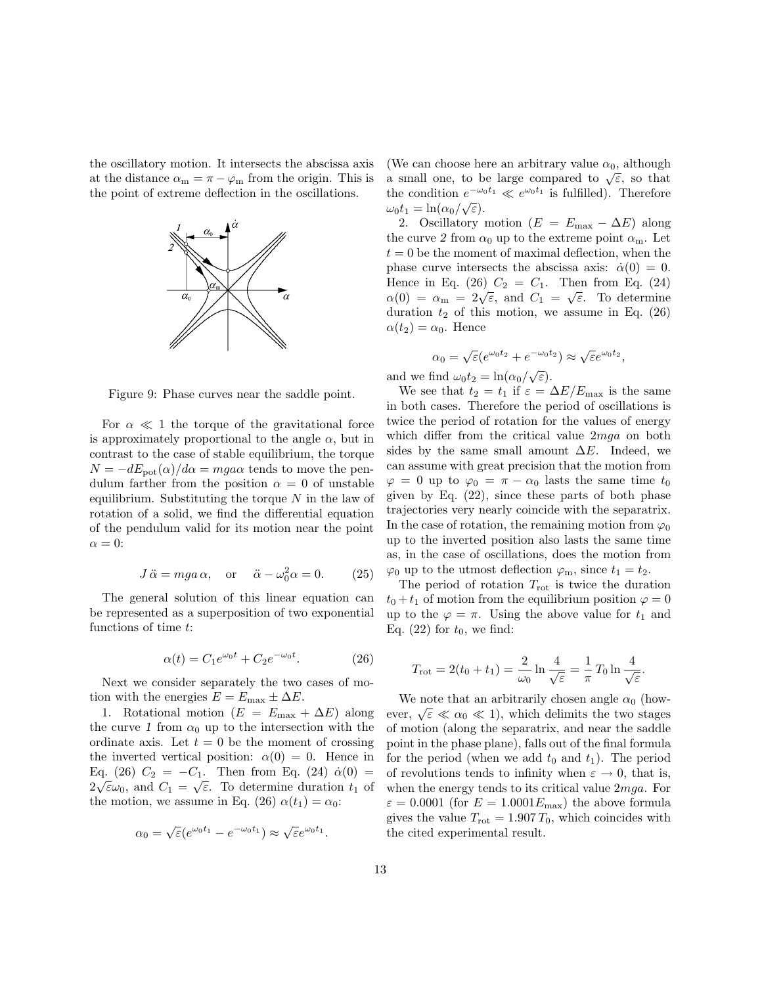the oscillatory motion. It intersects the abscissa axis at the distance  $\alpha_m = \pi - \varphi_m$  from the origin. This is the point of extreme deflection in the oscillations.



Figure 9: Phase curves near the saddle point.

For  $\alpha \ll 1$  the torque of the gravitational force is approximately proportional to the angle  $\alpha$ , but in contrast to the case of stable equilibrium, the torque  $N = -dE_{\text{pot}}(\alpha)/d\alpha = mga\alpha$  tends to move the pendulum farther from the position  $\alpha = 0$  of unstable equilibrium. Substituting the torque  $N$  in the law of rotation of a solid, we find the differential equation of the pendulum valid for its motion near the point  $\alpha = 0$ :

$$
J\ddot{\alpha} = mga\alpha
$$
, or  $\ddot{\alpha} - \omega_0^2 \alpha = 0$ . (25)

The general solution of this linear equation can be represented as a superposition of two exponential functions of time t:

$$
\alpha(t) = C_1 e^{\omega_0 t} + C_2 e^{-\omega_0 t}.
$$
 (26)

Next we consider separately the two cases of motion with the energies  $E = E_{\text{max}} \pm \Delta E$ .

1. Rotational motion  $(E = E_{\text{max}} + \Delta E)$  along the curve 1 from  $\alpha_0$  up to the intersection with the ordinate axis. Let  $t = 0$  be the moment of crossing the inverted vertical position:  $\alpha(0) = 0$ . Hence in Eq. (26)  $C_2 = -C_1$ . Then from Eq. (24)  $\dot{\alpha}(0) =$  $2\sqrt{\varepsilon}\omega_0$ , and  $C_1 = \sqrt{\varepsilon}$ . To determine duration  $t_1$  of the motion, we assume in Eq. (26)  $\alpha(t_1) = \alpha_0$ :

$$
\alpha_0 = \sqrt{\varepsilon} (e^{\omega_0 t_1} - e^{-\omega_0 t_1}) \approx \sqrt{\varepsilon} e^{\omega_0 t_1}.
$$

(We can choose here an arbitrary value  $\alpha_0$ , although (we can choose here an arbitrary value  $\alpha_0$ , arritough<br>a small one, to be large compared to  $\sqrt{\varepsilon}$ , so that the condition  $e^{-\omega_0 t_1} \ll e^{\omega_0 t_1}$  is fulfilled). Therefore  $\omega_0 t_1 = \ln(\alpha_0/\sqrt{\varepsilon}).$ 

2. Oscillatory motion  $(E = E_{\text{max}} - \Delta E)$  along the curve 2 from  $\alpha_0$  up to the extreme point  $\alpha_m$ . Let  $t = 0$  be the moment of maximal deflection, when the phase curve intersects the abscissa axis:  $\dot{\alpha}(0) = 0$ . Hence in Eq.  $(26)$   $C_2 = C_1$ . Then from Eq.  $(24)$ Thence in Eq. (20)  $C_2 = C_1$ . Then from Eq. (24)<br>  $\alpha(0) = \alpha_m = 2\sqrt{\epsilon}$ , and  $C_1 = \sqrt{\epsilon}$ . To determine duration  $t_2$  of this motion, we assume in Eq. (26)  $\alpha(t_2) = \alpha_0$ . Hence

$$
\alpha_0 = \sqrt{\varepsilon} (e^{\omega_0 t_2} + e^{-\omega_0 t_2}) \approx \sqrt{\varepsilon} e^{\omega_0 t_2},
$$

and we find  $\omega_0 t_2 = \ln(\alpha_0/\sqrt{\varepsilon}).$ 

We see that  $t_2 = t_1$  if  $\varepsilon = \Delta E/E_{\text{max}}$  is the same in both cases. Therefore the period of oscillations is twice the period of rotation for the values of energy which differ from the critical value 2mga on both sides by the same small amount  $\Delta E$ . Indeed, we can assume with great precision that the motion from  $\varphi = 0$  up to  $\varphi_0 = \pi - \alpha_0$  lasts the same time  $t_0$ given by Eq.  $(22)$ , since these parts of both phase trajectories very nearly coincide with the separatrix. In the case of rotation, the remaining motion from  $\varphi_0$ up to the inverted position also lasts the same time as, in the case of oscillations, does the motion from  $\varphi_0$  up to the utmost deflection  $\varphi_m$ , since  $t_1 = t_2$ .

The period of rotation  $T_{\text{rot}}$  is twice the duration  $t_0 + t_1$  of motion from the equilibrium position  $\varphi = 0$ up to the  $\varphi = \pi$ . Using the above value for  $t_1$  and Eq.  $(22)$  for  $t_0$ , we find:

$$
T_{\rm rot} = 2(t_0 + t_1) = \frac{2}{\omega_0} \ln \frac{4}{\sqrt{\varepsilon}} = \frac{1}{\pi} T_0 \ln \frac{4}{\sqrt{\varepsilon}}.
$$

We note that an arbitrarily chosen angle  $\alpha_0$  (howwe note that an arbitrarily chosen angle  $\alpha_0$  (now-<br>ever,  $\sqrt{\varepsilon} \ll \alpha_0 \ll 1$ ), which delimits the two stages of motion (along the separatrix, and near the saddle point in the phase plane), falls out of the final formula for the period (when we add  $t_0$  and  $t_1$ ). The period of revolutions tends to infinity when  $\varepsilon \to 0$ , that is, when the energy tends to its critical value  $2mqa$ . For  $\varepsilon = 0.0001$  (for  $E = 1.0001 E_{\text{max}}$ ) the above formula gives the value  $T_{\text{rot}} = 1.907 T_0$ , which coincides with the cited experimental result.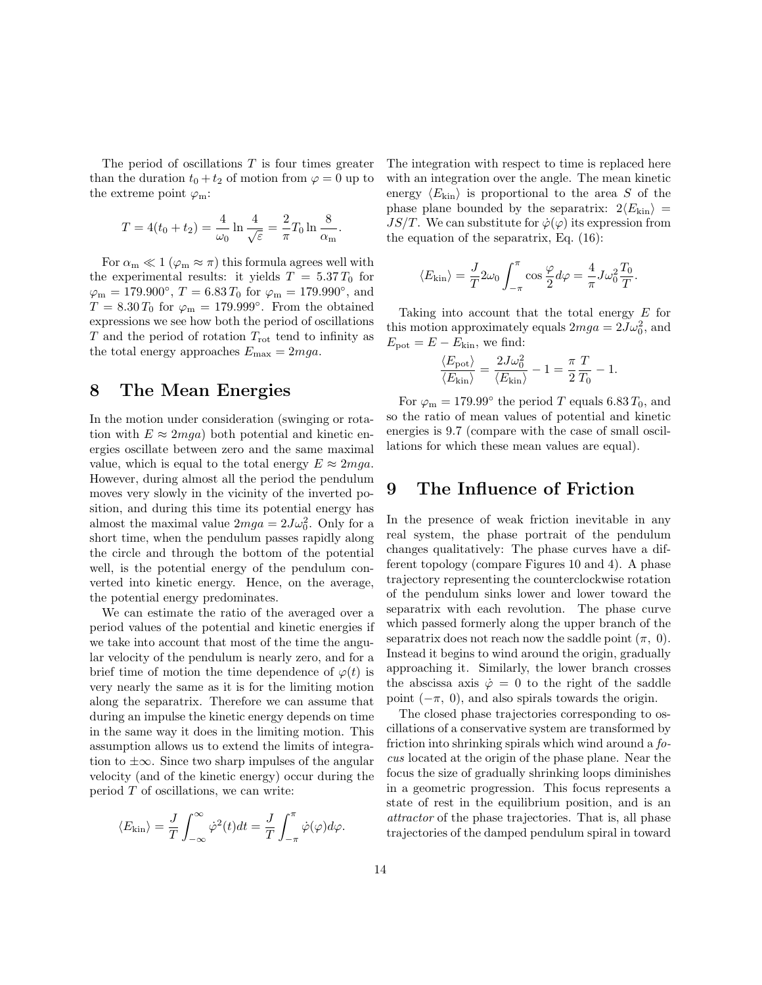The period of oscillations  $T$  is four times greater than the duration  $t_0 + t_2$  of motion from  $\varphi = 0$  up to the extreme point  $\varphi_m$ :

$$
T = 4(t_0 + t_2) = \frac{4}{\omega_0} \ln \frac{4}{\sqrt{\varepsilon}} = \frac{2}{\pi} T_0 \ln \frac{8}{\alpha_{\rm m}}.
$$

For  $\alpha_m \ll 1$  ( $\varphi_m \approx \pi$ ) this formula agrees well with the experimental results: it yields  $T = 5.37 T_0$  for  $\varphi_{\rm m} = 179.900^{\circ}, T = 6.83 T_0$  for  $\varphi_{\rm m} = 179.990^{\circ}, \text{ and}$  $T = 8.30 T_0$  for  $\varphi_m = 179.999$ °. From the obtained expressions we see how both the period of oscillations  $T$  and the period of rotation  $T_{\rm rot}$  tend to infinity as the total energy approaches  $E_{\text{max}} = 2mga$ .

#### 8 The Mean Energies

In the motion under consideration (swinging or rotation with  $E \approx 2mga$ ) both potential and kinetic energies oscillate between zero and the same maximal value, which is equal to the total energy  $E \approx 2mga$ . However, during almost all the period the pendulum moves very slowly in the vicinity of the inverted position, and during this time its potential energy has almost the maximal value  $2mga = 2J\omega_0^2$ . Only for a short time, when the pendulum passes rapidly along the circle and through the bottom of the potential well, is the potential energy of the pendulum converted into kinetic energy. Hence, on the average, the potential energy predominates.

We can estimate the ratio of the averaged over a period values of the potential and kinetic energies if we take into account that most of the time the angular velocity of the pendulum is nearly zero, and for a brief time of motion the time dependence of  $\varphi(t)$  is very nearly the same as it is for the limiting motion along the separatrix. Therefore we can assume that during an impulse the kinetic energy depends on time in the same way it does in the limiting motion. This assumption allows us to extend the limits of integration to  $\pm\infty$ . Since two sharp impulses of the angular velocity (and of the kinetic energy) occur during the period  $T$  of oscillations, we can write:

$$
\langle E_{\rm kin} \rangle = \frac{J}{T} \int_{-\infty}^{\infty} \dot{\varphi}^2(t) dt = \frac{J}{T} \int_{-\pi}^{\pi} \dot{\varphi}(\varphi) d\varphi.
$$

The integration with respect to time is replaced here with an integration over the angle. The mean kinetic energy  $\langle E_{\text{kin}} \rangle$  is proportional to the area S of the phase plane bounded by the separatrix:  $2\langle E_{\text{kin}} \rangle$  = JS/T. We can substitute for  $\dot{\varphi}(\varphi)$  its expression from the equation of the separatrix, Eq. (16):

$$
\langle E_{\rm kin} \rangle = \frac{J}{T} 2\omega_0 \int_{-\pi}^{\pi} \cos \frac{\varphi}{2} d\varphi = \frac{4}{\pi} J \omega_0^2 \frac{T_0}{T}.
$$

Taking into account that the total energy E for this motion approximately equals  $2mga = 2J\omega_0^2$ , and  $E_{\text{pot}} = E - E_{\text{kin}}$ , we find:

$$
\frac{\langle E_{\text{pot}}\rangle}{\langle E_{\text{kin}}\rangle} = \frac{2J\omega_0^2}{\langle E_{\text{kin}}\rangle} - 1 = \frac{\pi}{2}\frac{T}{T_0} - 1.
$$

For  $\varphi_{\rm m} = 179.99^{\circ}$  the period T equals 6.83  $T_0$ , and so the ratio of mean values of potential and kinetic energies is 9.7 (compare with the case of small oscillations for which these mean values are equal).

#### 9 The Influence of Friction

In the presence of weak friction inevitable in any real system, the phase portrait of the pendulum changes qualitatively: The phase curves have a different topology (compare Figures 10 and 4). A phase trajectory representing the counterclockwise rotation of the pendulum sinks lower and lower toward the separatrix with each revolution. The phase curve which passed formerly along the upper branch of the separatrix does not reach now the saddle point  $(\pi, 0)$ . Instead it begins to wind around the origin, gradually approaching it. Similarly, the lower branch crosses the abscissa axis  $\dot{\varphi} = 0$  to the right of the saddle point  $(-\pi, 0)$ , and also spirals towards the origin.

The closed phase trajectories corresponding to oscillations of a conservative system are transformed by friction into shrinking spirals which wind around a focus located at the origin of the phase plane. Near the focus the size of gradually shrinking loops diminishes in a geometric progression. This focus represents a state of rest in the equilibrium position, and is an attractor of the phase trajectories. That is, all phase trajectories of the damped pendulum spiral in toward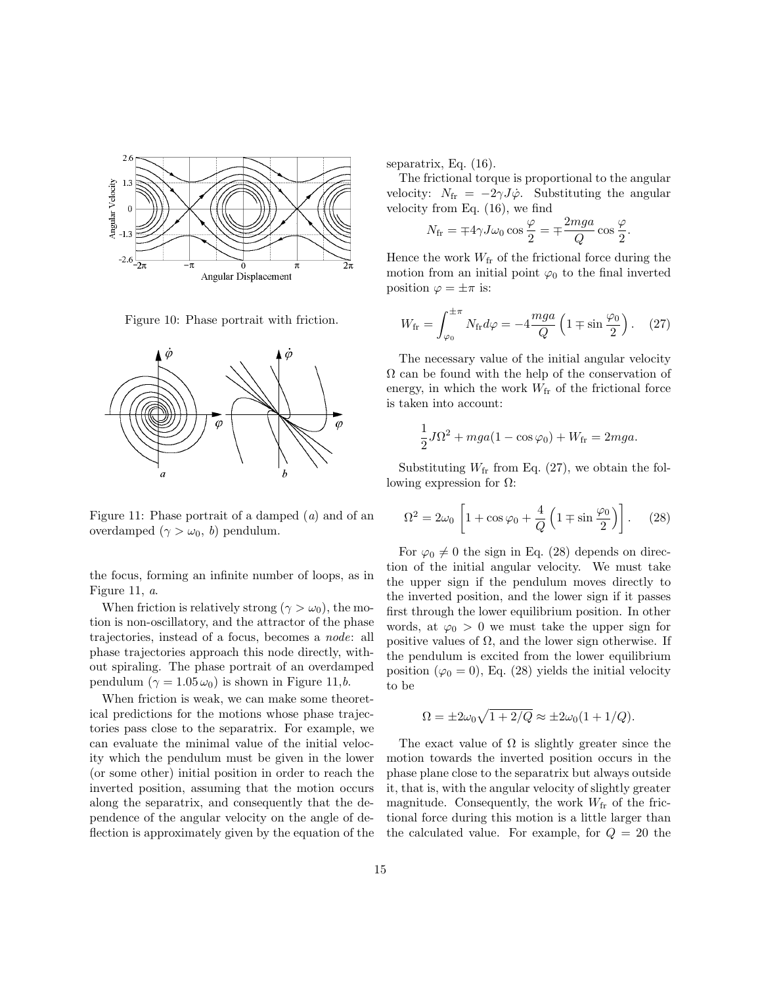

Figure 10: Phase portrait with friction.



Figure 11: Phase portrait of a damped (a) and of an overdamped  $(\gamma > \omega_0, b)$  pendulum.

the focus, forming an infinite number of loops, as in Figure 11, a.

When friction is relatively strong ( $\gamma > \omega_0$ ), the motion is non-oscillatory, and the attractor of the phase trajectories, instead of a focus, becomes a node: all phase trajectories approach this node directly, without spiraling. The phase portrait of an overdamped pendulum  $(\gamma = 1.05 \omega_0)$  is shown in Figure 11,*b*.

When friction is weak, we can make some theoretical predictions for the motions whose phase trajectories pass close to the separatrix. For example, we can evaluate the minimal value of the initial velocity which the pendulum must be given in the lower (or some other) initial position in order to reach the inverted position, assuming that the motion occurs along the separatrix, and consequently that the dependence of the angular velocity on the angle of deflection is approximately given by the equation of the separatrix, Eq. (16).

The frictional torque is proportional to the angular velocity:  $N_{\text{fr}} = -2\gamma J \dot{\varphi}$ . Substituting the angular velocity from Eq. (16), we find

$$
N_{\rm fr} = \mp 4\gamma J \omega_0 \cos \frac{\varphi}{2} = \mp \frac{2mga}{Q} \cos \frac{\varphi}{2}
$$

.

Hence the work  $W_{\text{fr}}$  of the frictional force during the motion from an initial point  $\varphi_0$  to the final inverted position  $\varphi = \pm \pi$  is:

$$
W_{\rm fr} = \int_{\varphi_0}^{\pm \pi} N_{\rm fr} d\varphi = -4 \frac{mga}{Q} \left( 1 \mp \sin \frac{\varphi_0}{2} \right). \quad (27)
$$

The necessary value of the initial angular velocity  $\Omega$  can be found with the help of the conservation of energy, in which the work  $W_{\text{fr}}$  of the frictional force is taken into account:

$$
\frac{1}{2}J\Omega^2 + mga(1 - \cos\varphi_0) + W_{\text{fr}} = 2mga.
$$

Substituting  $W_{\text{fr}}$  from Eq. (27), we obtain the following expression for  $\Omega$ :

$$
\Omega^2 = 2\omega_0 \left[ 1 + \cos\varphi_0 + \frac{4}{Q} \left( 1 \mp \sin\frac{\varphi_0}{2} \right) \right].
$$
 (28)

For  $\varphi_0 \neq 0$  the sign in Eq. (28) depends on direction of the initial angular velocity. We must take the upper sign if the pendulum moves directly to the inverted position, and the lower sign if it passes first through the lower equilibrium position. In other words, at  $\varphi_0 > 0$  we must take the upper sign for positive values of  $\Omega$ , and the lower sign otherwise. If the pendulum is excited from the lower equilibrium position ( $\varphi_0 = 0$ ), Eq. (28) yields the initial velocity to be

$$
\Omega = \pm 2\omega_0 \sqrt{1 + 2/Q} \approx \pm 2\omega_0 (1 + 1/Q).
$$

The exact value of  $\Omega$  is slightly greater since the motion towards the inverted position occurs in the phase plane close to the separatrix but always outside it, that is, with the angular velocity of slightly greater magnitude. Consequently, the work  $W_{\text{fr}}$  of the frictional force during this motion is a little larger than the calculated value. For example, for  $Q = 20$  the